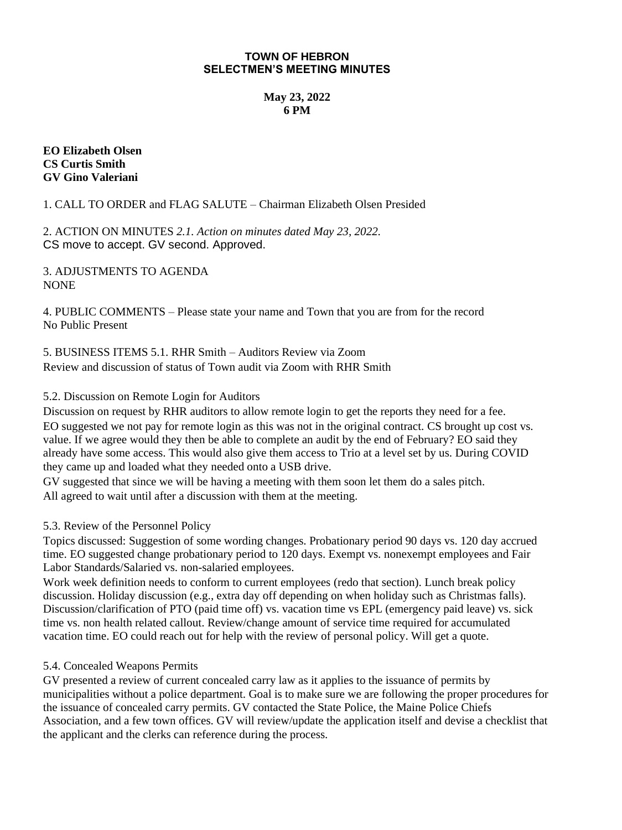#### **TOWN OF HEBRON SELECTMEN'S MEETING MINUTES**

# **May 23, 2022 6 PM**

### **EO Elizabeth Olsen CS Curtis Smith GV Gino Valeriani**

1. CALL TO ORDER and FLAG SALUTE – Chairman Elizabeth Olsen Presided

2. ACTION ON MINUTES *2.1. Action on minutes dated May 23, 2022.*  CS move to accept. GV second. Approved.

3. ADJUSTMENTS TO AGENDA NONE

4. PUBLIC COMMENTS – Please state your name and Town that you are from for the record No Public Present

5. BUSINESS ITEMS 5.1. RHR Smith – Auditors Review via Zoom Review and discussion of status of Town audit via Zoom with RHR Smith

## 5.2. Discussion on Remote Login for Auditors

Discussion on request by RHR auditors to allow remote login to get the reports they need for a fee. EO suggested we not pay for remote login as this was not in the original contract. CS brought up cost vs. value. If we agree would they then be able to complete an audit by the end of February? EO said they already have some access. This would also give them access to Trio at a level set by us. During COVID they came up and loaded what they needed onto a USB drive.

GV suggested that since we will be having a meeting with them soon let them do a sales pitch. All agreed to wait until after a discussion with them at the meeting.

#### 5.3. Review of the Personnel Policy

Topics discussed: Suggestion of some wording changes. Probationary period 90 days vs. 120 day accrued time. EO suggested change probationary period to 120 days. Exempt vs. nonexempt employees and Fair Labor Standards/Salaried vs. non-salaried employees.

Work week definition needs to conform to current employees (redo that section). Lunch break policy discussion. Holiday discussion (e.g., extra day off depending on when holiday such as Christmas falls). Discussion/clarification of PTO (paid time off) vs. vacation time vs EPL (emergency paid leave) vs. sick time vs. non health related callout. Review/change amount of service time required for accumulated vacation time. EO could reach out for help with the review of personal policy. Will get a quote.

#### 5.4. Concealed Weapons Permits

GV presented a review of current concealed carry law as it applies to the issuance of permits by municipalities without a police department. Goal is to make sure we are following the proper procedures for the issuance of concealed carry permits. GV contacted the State Police, the Maine Police Chiefs Association, and a few town offices. GV will review/update the application itself and devise a checklist that the applicant and the clerks can reference during the process.